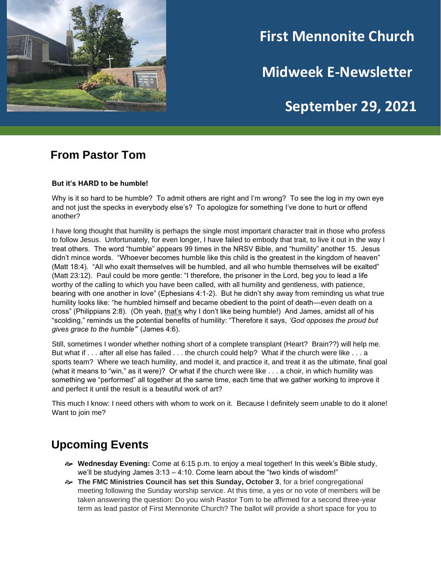

# **First Mennonite Church**

**Midweek E-Newsletter**

# **September 29, 2021**

**202120212021**

## **From Pastor Tom**

#### **But it's HARD to be humble!**

Why is it so hard to be humble? To admit others are right and I'm wrong? To see the log in my own eye and not just the specks in everybody else's? To apologize for something I've done to hurt or offend another?

I have long thought that humility is perhaps the single most important character trait in those who profess to follow Jesus. Unfortunately, for even longer, I have failed to embody that trait, to live it out in the way I treat others. The word "humble" appears 99 times in the NRSV Bible, and "humility" another 15. Jesus didn't mince words. "Whoever becomes humble like this child is the greatest in the kingdom of heaven" (Matt 18:4). "All who exalt themselves will be humbled, and all who humble themselves will be exalted" (Matt 23:12). Paul could be more gentle: "I therefore, the prisoner in the Lord, beg you to lead a life worthy of the calling to which you have been called, with all humility and gentleness, with patience, bearing with one another in love" (Ephesians 4:1-2). But he didn't shy away from reminding us what true humility looks like: "he humbled himself and became obedient to the point of death—even death on a cross" (Philippians 2:8). (Oh yeah, that's why I don't like being humble!) And James, amidst all of his "scolding," reminds us the potential benefits of humility: "Therefore it says, *'God opposes the proud but gives grace to the humble'*" (James 4:6).

Still, sometimes I wonder whether nothing short of a complete transplant (Heart? Brain??) will help me. But what if . . . after all else has failed . . . the church could help? What if the church were like . . . a sports team? Where we teach humility, and model it, and practice it, and treat it as the ultimate, final goal (what it means to "win," as it were)? Or what if the church were like . . . a choir, in which humility was something we "performed" all together at the same time, each time that we gather working to improve it and perfect it until the result is a beautiful work of art?

This much I know: I need others with whom to work on it. Because I definitely seem unable to do it alone! Want to join me?

# **Upcoming Events**

- **Wednesday Evening:** Come at 6:15 p.m. to enjoy a meal together! In this week's Bible study, we'll be studying James 3:13 – 4:10. Come learn about the "two kinds of wisdom!"
- **The FMC Ministries Council has set this Sunday, October 3**, for a brief congregational meeting following the Sunday worship service. At this time, a yes or no vote of members will be taken answering the question: Do you wish Pastor Tom to be affirmed for a second three-year term as lead pastor of First Mennonite Church? The ballot will provide a short space for you to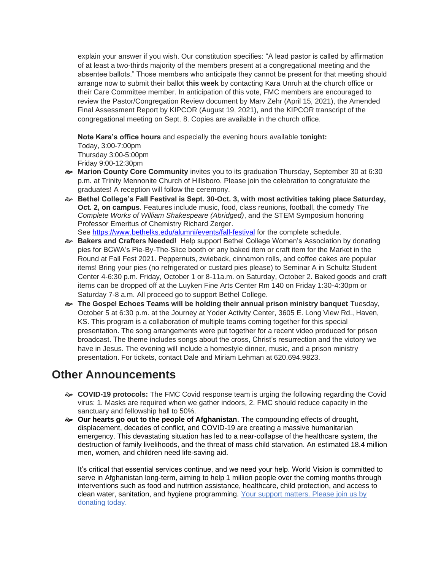explain your answer if you wish. Our constitution specifies: "A lead pastor is called by affirmation of at least a two-thirds majority of the members present at a congregational meeting and the absentee ballots." Those members who anticipate they cannot be present for that meeting should arrange now to submit their ballot **this week** by contacting Kara Unruh at the church office or their Care Committee member. In anticipation of this vote, FMC members are encouraged to review the Pastor/Congregation Review document by Marv Zehr (April 15, 2021), the Amended Final Assessment Report by KIPCOR (August 19, 2021), and the KIPCOR transcript of the congregational meeting on Sept. 8. Copies are available in the church office.

**Note Kara's office hours** and especially the evening hours available **tonight:** Today, 3:00-7:00pm Thursday 3:00-5:00pm Friday 9:00-12:30pm

- **Marion County Core Community** invites you to its graduation Thursday, September 30 at 6:30 p.m. at Trinity Mennonite Church of Hillsboro. Please join the celebration to congratulate the graduates! A reception will follow the ceremony.
- **Bethel College's Fall Festival is Sept. 30-Oct. 3, with most activities taking place Saturday, Oct. 2, on campus**. Features include music, food, class reunions, football, the comedy *The Complete Works of William Shakespeare (Abridged)*, and the STEM Symposium honoring Professor Emeritus of Chemistry Richard Zerger. See <https://www.bethelks.edu/alumni/events/fall-festival> for the complete schedule.
- **Bakers and Crafters Needed!** Help support Bethel College Women's Association by donating pies for BCWA's Pie-By-The-Slice booth or any baked item or craft item for the Market in the Round at Fall Fest 2021. Peppernuts, zwieback, cinnamon rolls, and coffee cakes are popular items! Bring your pies (no refrigerated or custard pies please) to Seminar A in Schultz Student Center 4-6:30 p.m. Friday, October 1 or 8-11a.m. on Saturday, October 2. Baked goods and craft items can be dropped off at the Luyken Fine Arts Center Rm 140 on Friday 1:30-4:30pm or Saturday 7-8 a.m. All proceed go to support Bethel College.
- **The Gospel Echoes Teams will be holding their annual prison ministry banquet** Tuesday, October 5 at 6:30 p.m. at the Journey at Yoder Activity Center, 3605 E. Long View Rd., Haven, KS. This program is a collaboration of multiple teams coming together for this special presentation. The song arrangements were put together for a recent video produced for prison broadcast. The theme includes songs about the cross, Christ's resurrection and the victory we have in Jesus. The evening will include a homestyle dinner, music, and a prison ministry presentation. For tickets, contact Dale and Miriam Lehman at 620.694.9823.

## **Other Announcements**

- **COVID-19 protocols:** The FMC Covid response team is urging the following regarding the Covid virus: 1. Masks are required when we gather indoors, 2. FMC should reduce capacity in the sanctuary and fellowship hall to 50%.
- **Our hearts go out to the people of Afghanistan**. The compounding effects of drought, displacement, decades of conflict, and COVID-19 are creating a massive humanitarian emergency. This devastating situation has led to a near-collapse of the healthcare system, the destruction of family livelihoods, and the threat of mass child starvation. An estimated 18.4 million men, women, and children need life-saving aid.

It's critical that essential services continue, and we need your help. World Vision is committed to serve in Afghanistan long-term, aiming to help 1 million people over the coming months through interventions such as food and nutrition assistance, healthcare, child protection, and access to clean water, sanitation, and hygiene programming. [Your support matters. Please join us by](https://t.acmail.worldvision.org/r/?id=h2ad27524,aa9bd91,722c339&p1=400057171&p2=20Sep21&p3=SG&p4=appeal&p5=0c8e137d584cb367bb58b98b0eb51f278f7b90b2353a49743012b604b461acc6)  [donating today.](https://t.acmail.worldvision.org/r/?id=h2ad27524,aa9bd91,722c339&p1=400057171&p2=20Sep21&p3=SG&p4=appeal&p5=0c8e137d584cb367bb58b98b0eb51f278f7b90b2353a49743012b604b461acc6)